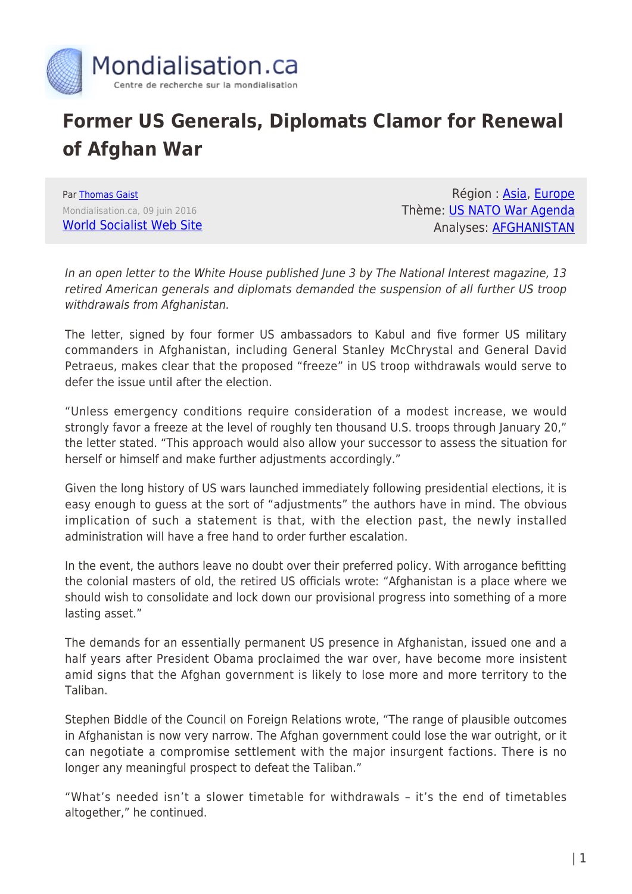

## **Former US Generals, Diplomats Clamor for Renewal of Afghan War**

Par [Thomas Gaist](https://www.mondialisation.ca/author/thomas-gaist) Mondialisation.ca, 09 juin 2016 [World Socialist Web Site](http://www.wsws.org/en/articles/2016/06/09/afgh-j09.html)

Région : [Asia](https://www.mondialisation.ca/region/asia), [Europe](https://www.mondialisation.ca/region/europe) Thème: [US NATO War Agenda](https://www.mondialisation.ca/theme/us-nato-war-agenda) Analyses: [AFGHANISTAN](https://www.mondialisation.ca/indepthreport/afghanistan)

In an open letter to the White House published June 3 by The National Interest magazine, 13 retired American generals and diplomats demanded the suspension of all further US troop withdrawals from Afghanistan.

The letter, signed by four former US ambassadors to Kabul and five former US military commanders in Afghanistan, including General Stanley McChrystal and General David Petraeus, makes clear that the proposed "freeze" in US troop withdrawals would serve to defer the issue until after the election.

"Unless emergency conditions require consideration of a modest increase, we would strongly favor a freeze at the level of roughly ten thousand U.S. troops through January 20," the letter stated. "This approach would also allow your successor to assess the situation for herself or himself and make further adjustments accordingly."

Given the long history of US wars launched immediately following presidential elections, it is easy enough to guess at the sort of "adjustments" the authors have in mind. The obvious implication of such a statement is that, with the election past, the newly installed administration will have a free hand to order further escalation.

In the event, the authors leave no doubt over their preferred policy. With arrogance befitting the colonial masters of old, the retired US officials wrote: "Afghanistan is a place where we should wish to consolidate and lock down our provisional progress into something of a more lasting asset."

The demands for an essentially permanent US presence in Afghanistan, issued one and a half years after President Obama proclaimed the war over, have become more insistent amid signs that the Afghan government is likely to lose more and more territory to the Taliban.

Stephen Biddle of the Council on Foreign Relations wrote, "The range of plausible outcomes in Afghanistan is now very narrow. The Afghan government could lose the war outright, or it can negotiate a compromise settlement with the major insurgent factions. There is no longer any meaningful prospect to defeat the Taliban."

"What's needed isn't a slower timetable for withdrawals – it's the end of timetables altogether," he continued.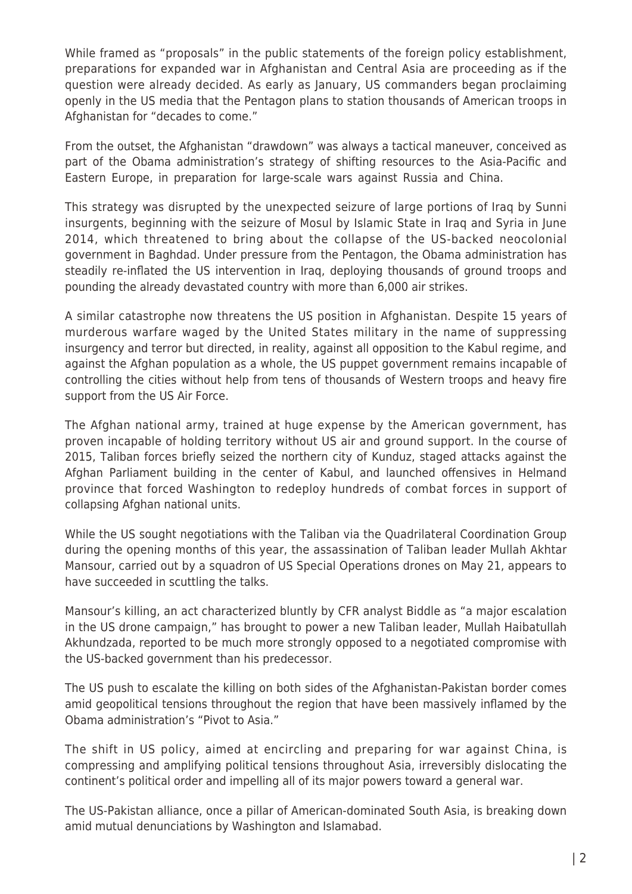While framed as "proposals" in the public statements of the foreign policy establishment, preparations for expanded war in Afghanistan and Central Asia are proceeding as if the question were already decided. As early as January, US commanders began proclaiming openly in the US media that the Pentagon plans to station thousands of American troops in Afghanistan for "decades to come."

From the outset, the Afghanistan "drawdown" was always a tactical maneuver, conceived as part of the Obama administration's strategy of shifting resources to the Asia-Pacific and Eastern Europe, in preparation for large-scale wars against Russia and China.

This strategy was disrupted by the unexpected seizure of large portions of Iraq by Sunni insurgents, beginning with the seizure of Mosul by Islamic State in Iraq and Syria in June 2014, which threatened to bring about the collapse of the US-backed neocolonial government in Baghdad. Under pressure from the Pentagon, the Obama administration has steadily re-inflated the US intervention in Iraq, deploying thousands of ground troops and pounding the already devastated country with more than 6,000 air strikes.

A similar catastrophe now threatens the US position in Afghanistan. Despite 15 years of murderous warfare waged by the United States military in the name of suppressing insurgency and terror but directed, in reality, against all opposition to the Kabul regime, and against the Afghan population as a whole, the US puppet government remains incapable of controlling the cities without help from tens of thousands of Western troops and heavy fire support from the US Air Force.

The Afghan national army, trained at huge expense by the American government, has proven incapable of holding territory without US air and ground support. In the course of 2015, Taliban forces briefly seized the northern city of Kunduz, staged attacks against the Afghan Parliament building in the center of Kabul, and launched offensives in Helmand province that forced Washington to redeploy hundreds of combat forces in support of collapsing Afghan national units.

While the US sought negotiations with the Taliban via the Quadrilateral Coordination Group during the opening months of this year, the assassination of Taliban leader Mullah Akhtar Mansour, carried out by a squadron of US Special Operations drones on May 21, appears to have succeeded in scuttling the talks.

Mansour's killing, an act characterized bluntly by CFR analyst Biddle as "a major escalation in the US drone campaign," has brought to power a new Taliban leader, Mullah Haibatullah Akhundzada, reported to be much more strongly opposed to a negotiated compromise with the US-backed government than his predecessor.

The US push to escalate the killing on both sides of the Afghanistan-Pakistan border comes amid geopolitical tensions throughout the region that have been massively inflamed by the Obama administration's "Pivot to Asia."

The shift in US policy, aimed at encircling and preparing for war against China, is compressing and amplifying political tensions throughout Asia, irreversibly dislocating the continent's political order and impelling all of its major powers toward a general war.

The US-Pakistan alliance, once a pillar of American-dominated South Asia, is breaking down amid mutual denunciations by Washington and Islamabad.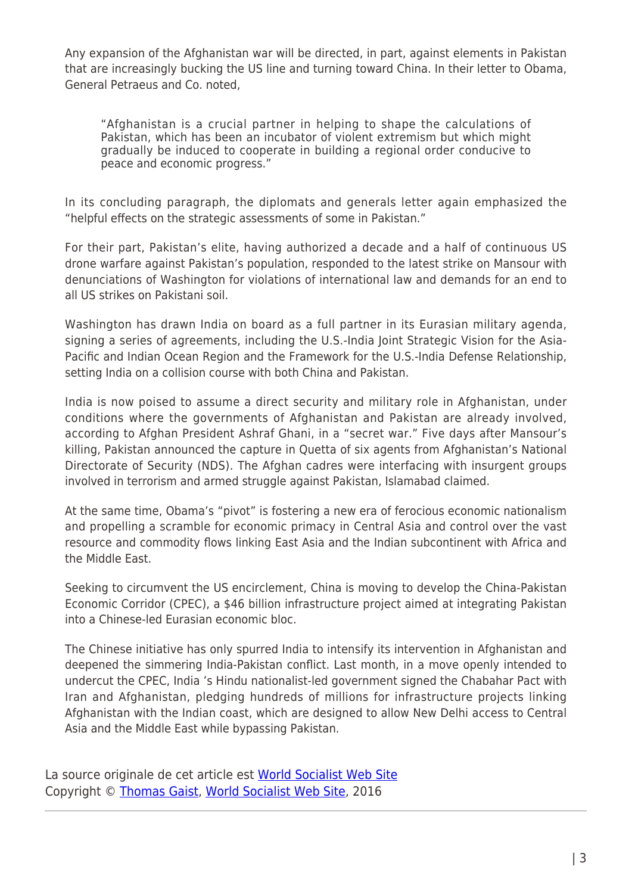Any expansion of the Afghanistan war will be directed, in part, against elements in Pakistan that are increasingly bucking the US line and turning toward China. In their letter to Obama, General Petraeus and Co. noted,

"Afghanistan is a crucial partner in helping to shape the calculations of Pakistan, which has been an incubator of violent extremism but which might gradually be induced to cooperate in building a regional order conducive to peace and economic progress."

In its concluding paragraph, the diplomats and generals letter again emphasized the "helpful effects on the strategic assessments of some in Pakistan."

For their part, Pakistan's elite, having authorized a decade and a half of continuous US drone warfare against Pakistan's population, responded to the latest strike on Mansour with denunciations of Washington for violations of international law and demands for an end to all US strikes on Pakistani soil.

Washington has drawn India on board as a full partner in its Eurasian military agenda, signing a series of agreements, including the U.S.-India Joint Strategic Vision for the Asia-Pacific and Indian Ocean Region and the Framework for the U.S.-India Defense Relationship, setting India on a collision course with both China and Pakistan.

India is now poised to assume a direct security and military role in Afghanistan, under conditions where the governments of Afghanistan and Pakistan are already involved, according to Afghan President Ashraf Ghani, in a "secret war." Five days after Mansour's killing, Pakistan announced the capture in Quetta of six agents from Afghanistan's National Directorate of Security (NDS). The Afghan cadres were interfacing with insurgent groups involved in terrorism and armed struggle against Pakistan, Islamabad claimed.

At the same time, Obama's "pivot" is fostering a new era of ferocious economic nationalism and propelling a scramble for economic primacy in Central Asia and control over the vast resource and commodity flows linking East Asia and the Indian subcontinent with Africa and the Middle East.

Seeking to circumvent the US encirclement, China is moving to develop the China-Pakistan Economic Corridor (CPEC), a \$46 billion infrastructure project aimed at integrating Pakistan into a Chinese-led Eurasian economic bloc.

The Chinese initiative has only spurred India to intensify its intervention in Afghanistan and deepened the simmering India-Pakistan conflict. Last month, in a move openly intended to undercut the CPEC, India 's Hindu nationalist-led government signed the Chabahar Pact with Iran and Afghanistan, pledging hundreds of millions for infrastructure projects linking Afghanistan with the Indian coast, which are designed to allow New Delhi access to Central Asia and the Middle East while bypassing Pakistan.

La source originale de cet article est [World Socialist Web Site](http://www.wsws.org/en/articles/2016/06/09/afgh-j09.html) Copyright © [Thomas Gaist,](https://www.mondialisation.ca/author/thomas-gaist) [World Socialist Web Site](http://www.wsws.org/en/articles/2016/06/09/afgh-j09.html), 2016